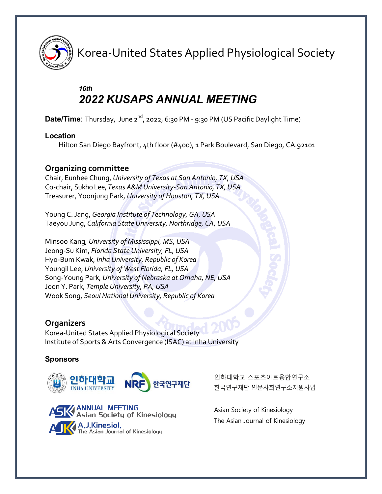

Korea-United States Applied Physiological Society

# *16th 2022 KUSAPS ANNUAL MEETING*

**Date/Time**: Thursday, June 2<sup>nd</sup>, 2022, 6:30 PM - 9:30 PM (US Pacific Daylight Time)

#### **Location**

Hilton San Diego Bayfront, 4th floor (#400), 1 Park Boulevard, San Diego, CA.92101

### **Organizing committee**

Chair, Eunhee Chung, *University of Texas at San Antonio, TX, USA* Co-chair, Sukho Lee, *Texas A&M University-San Antonio, TX, USA* Treasurer, Yoonjung Park, *University of Houston, TX, USA*

Young C. Jang, *Georgia Institute of Technology, GA, USA* Taeyou Jung, *California State University, Northridge, CA, USA*

Minsoo Kang*, University of Mississippi, MS, USA* Jeong-Su Kim, *Florida State University, FL, USA* Hyo-Bum Kwak, *Inha University, Republic of Korea* Youngil Lee, *University of West Florida, FL, USA* Song-Young Park*, University of Nebraska at Omaha, NE, USA* Joon Y. Park, *Temple University, PA, USA* Wook Song, *Seoul National University, Republic of Korea*

## **Organizers**

Korea-United States Applied Physiological Society Institute of Sports & Arts Convergence (ISAC) at Inha University

### **Sponsors**



**ANNUAL MEETING** Asian Society of Kinesiology A.J.Kinesiol.<br>The Asian Journal of Kinesiology

인하대학교 스포츠아트융합연구소 한국연구재단 인문사회연구소지원사업

Asian Society of Kinesiology The Asian Journal of Kinesiology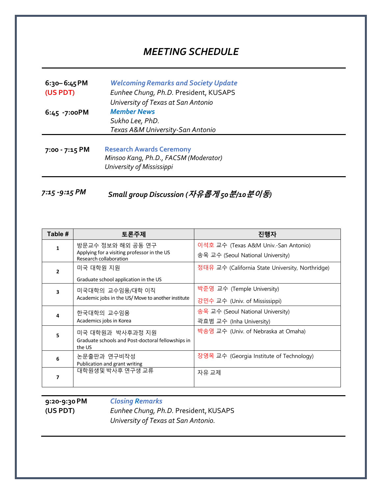# *MEETING SCHEDULE*

| $6:30 - 6:45 PM$<br>(US PDT)                                                                                            | <b>Welcoming Remarks and Society Update</b><br>Eunhee Chung, Ph.D. President, KUSAPS<br>University of Texas at San Antonio |  |
|-------------------------------------------------------------------------------------------------------------------------|----------------------------------------------------------------------------------------------------------------------------|--|
| 6:45 -7:00PM                                                                                                            | <b>Member News</b><br>Sukho Lee, PhD.<br>Texas A&M University-San Antonio                                                  |  |
| <b>Research Awards Ceremony</b><br>7:00 - 7:15 PM<br>Minsoo Kang, Ph.D., FACSM (Moderator)<br>University of Mississippi |                                                                                                                            |  |

*7:15 -9:15 PM Small group Discussion (***자유롭게** *50***분***/10***분이동***)*

| Table # | 토론주제                                                                                       | 진행자                                                                       |
|---------|--------------------------------------------------------------------------------------------|---------------------------------------------------------------------------|
| 1       | 방문교수 정보와 해외 공동 연구<br>Applying for a visiting professor in the US<br>Research collaboration | 이석호 교수 (Texas A&M Univ.-San Antonio)<br>송욱 교수 (Seoul National University) |
| 2       | 미국 대학원 지원<br>Graduate school application in the US                                         | 정태유 교수 (California State University, Northridge)                          |
| 3       | 미국대학의 교수임용/대학 이직<br>Academic jobs in the US/Move to another institute                      | 박준영 교수 (Temple University)<br>강민수 교수 (Univ. of Mississippi)               |
| 4       | 한국대학의 교수임용<br>Academics jobs in Korea                                                      | 송욱 교수 (Seoul National University)<br>곽효범 교수 (Inha University)             |
| 5       | 미국 대학원과 박사후과정 지원<br>Graduate schools and Post-doctoral fellowships in<br>the US            | 박송영 교수 (Univ. of Nebraska at Omaha)                                       |
| 6       | 논문출판과 연구비작성<br>Publication and grant writing                                               | 장영목 교수 (Georgia Institute of Technology)                                  |
| 7       | 대학원생및 박사후 연구생 교류                                                                           | 자유 교제                                                                     |

**9:20-9:30 PM (US PDT)**

*Closing Remarks* 

**Eunhee Chung, Ph.D. President, KUSAPS** *University of Texas at San Antonio.*